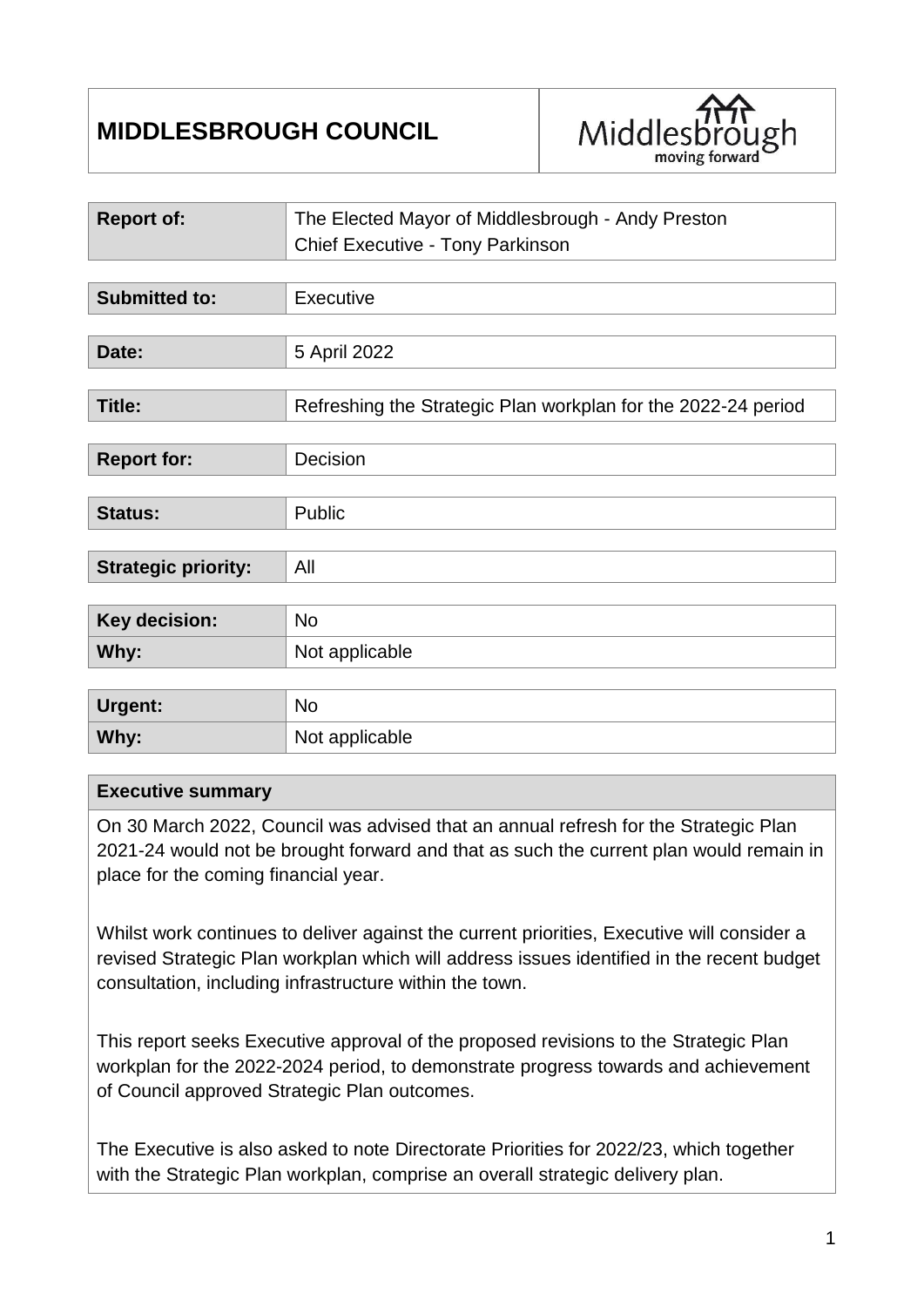# **MIDDLESBROUGH COUNCIL**



| <b>Report of:</b>          | The Elected Mayor of Middlesbrough - Andy Preston<br>Chief Executive - Tony Parkinson |
|----------------------------|---------------------------------------------------------------------------------------|
|                            |                                                                                       |
| <b>Submitted to:</b>       | Executive                                                                             |
|                            |                                                                                       |
| Date:                      | 5 April 2022                                                                          |
|                            |                                                                                       |
| <b>Title:</b>              | Refreshing the Strategic Plan workplan for the 2022-24 period                         |
|                            |                                                                                       |
| <b>Report for:</b>         | Decision                                                                              |
|                            |                                                                                       |
| <b>Status:</b>             | Public                                                                                |
|                            |                                                                                       |
| <b>Strategic priority:</b> | All                                                                                   |
|                            |                                                                                       |
| Key decision:              | <b>No</b>                                                                             |
| Why:                       | Not applicable                                                                        |
|                            |                                                                                       |
| <b>Urgent:</b>             | No                                                                                    |
| Why:                       | Not applicable                                                                        |

# **Executive summary**

On 30 March 2022, Council was advised that an annual refresh for the Strategic Plan 2021-24 would not be brought forward and that as such the current plan would remain in place for the coming financial year.

Whilst work continues to deliver against the current priorities, Executive will consider a revised Strategic Plan workplan which will address issues identified in the recent budget consultation, including infrastructure within the town.

This report seeks Executive approval of the proposed revisions to the Strategic Plan workplan for the 2022-2024 period, to demonstrate progress towards and achievement of Council approved Strategic Plan outcomes.

The Executive is also asked to note Directorate Priorities for 2022/23, which together with the Strategic Plan workplan, comprise an overall strategic delivery plan.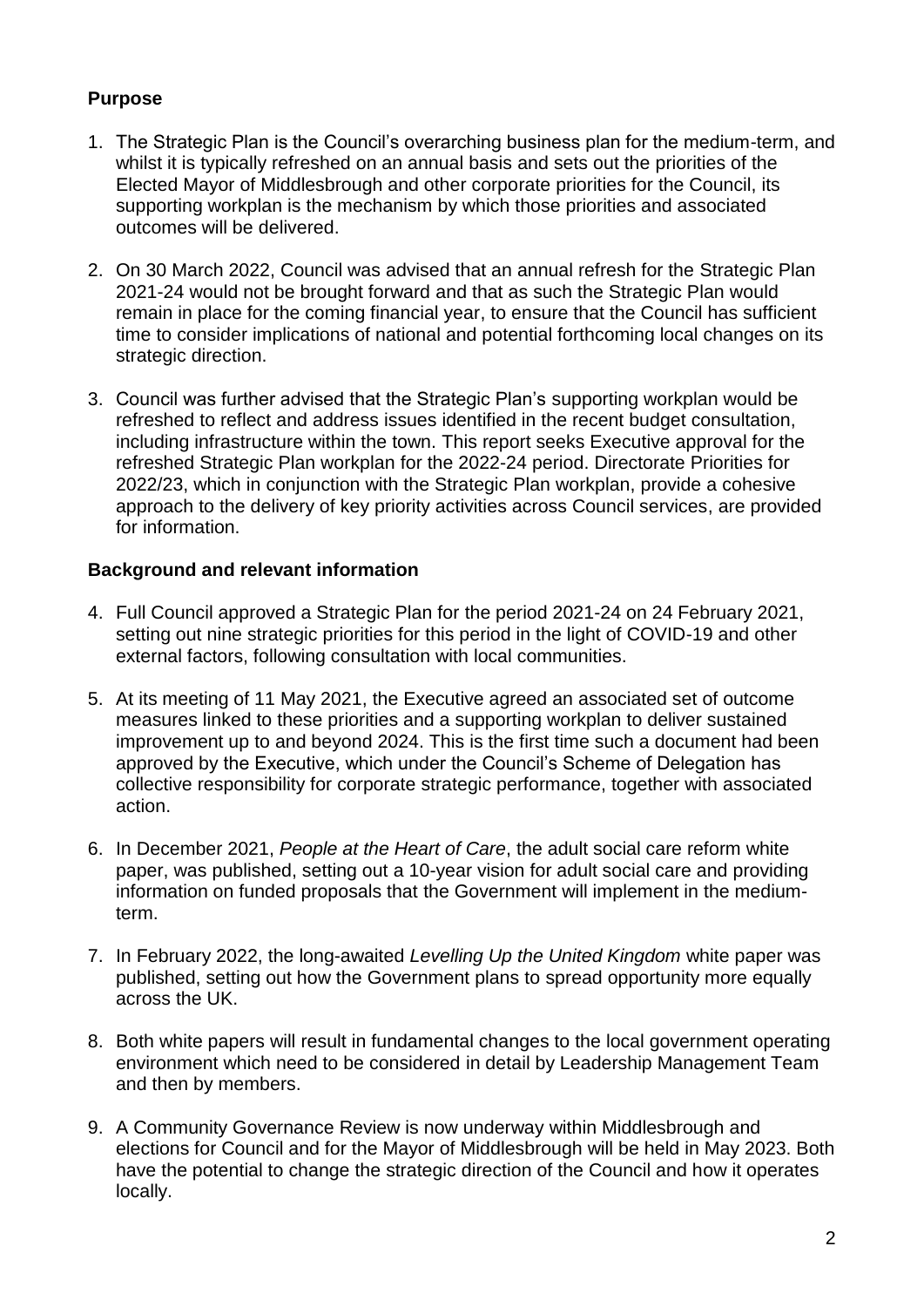# **Purpose**

- 1. The Strategic Plan is the Council's overarching business plan for the medium-term, and whilst it is typically refreshed on an annual basis and sets out the priorities of the Elected Mayor of Middlesbrough and other corporate priorities for the Council, its supporting workplan is the mechanism by which those priorities and associated outcomes will be delivered.
- 2. On 30 March 2022, Council was advised that an annual refresh for the Strategic Plan 2021-24 would not be brought forward and that as such the Strategic Plan would remain in place for the coming financial year, to ensure that the Council has sufficient time to consider implications of national and potential forthcoming local changes on its strategic direction.
- 3. Council was further advised that the Strategic Plan's supporting workplan would be refreshed to reflect and address issues identified in the recent budget consultation, including infrastructure within the town. This report seeks Executive approval for the refreshed Strategic Plan workplan for the 2022-24 period. Directorate Priorities for 2022/23, which in conjunction with the Strategic Plan workplan, provide a cohesive approach to the delivery of key priority activities across Council services, are provided for information.

# **Background and relevant information**

- 4. Full Council approved a Strategic Plan for the period 2021-24 on 24 February 2021, setting out nine strategic priorities for this period in the light of COVID-19 and other external factors, following consultation with local communities.
- 5. At its meeting of 11 May 2021, the Executive agreed an associated set of outcome measures linked to these priorities and a supporting workplan to deliver sustained improvement up to and beyond 2024. This is the first time such a document had been approved by the Executive, which under the Council's Scheme of Delegation has collective responsibility for corporate strategic performance, together with associated action.
- 6. In December 2021, *People at the Heart of Care*, the adult social care reform white paper, was published, setting out a 10-year vision for adult social care and providing information on funded proposals that the Government will implement in the mediumterm.
- 7. In February 2022, the long-awaited *Levelling Up the United Kingdom* white paper was published, setting out how the Government plans to spread opportunity more equally across the UK.
- 8. Both white papers will result in fundamental changes to the local government operating environment which need to be considered in detail by Leadership Management Team and then by members.
- 9. A Community Governance Review is now underway within Middlesbrough and elections for Council and for the Mayor of Middlesbrough will be held in May 2023. Both have the potential to change the strategic direction of the Council and how it operates locally.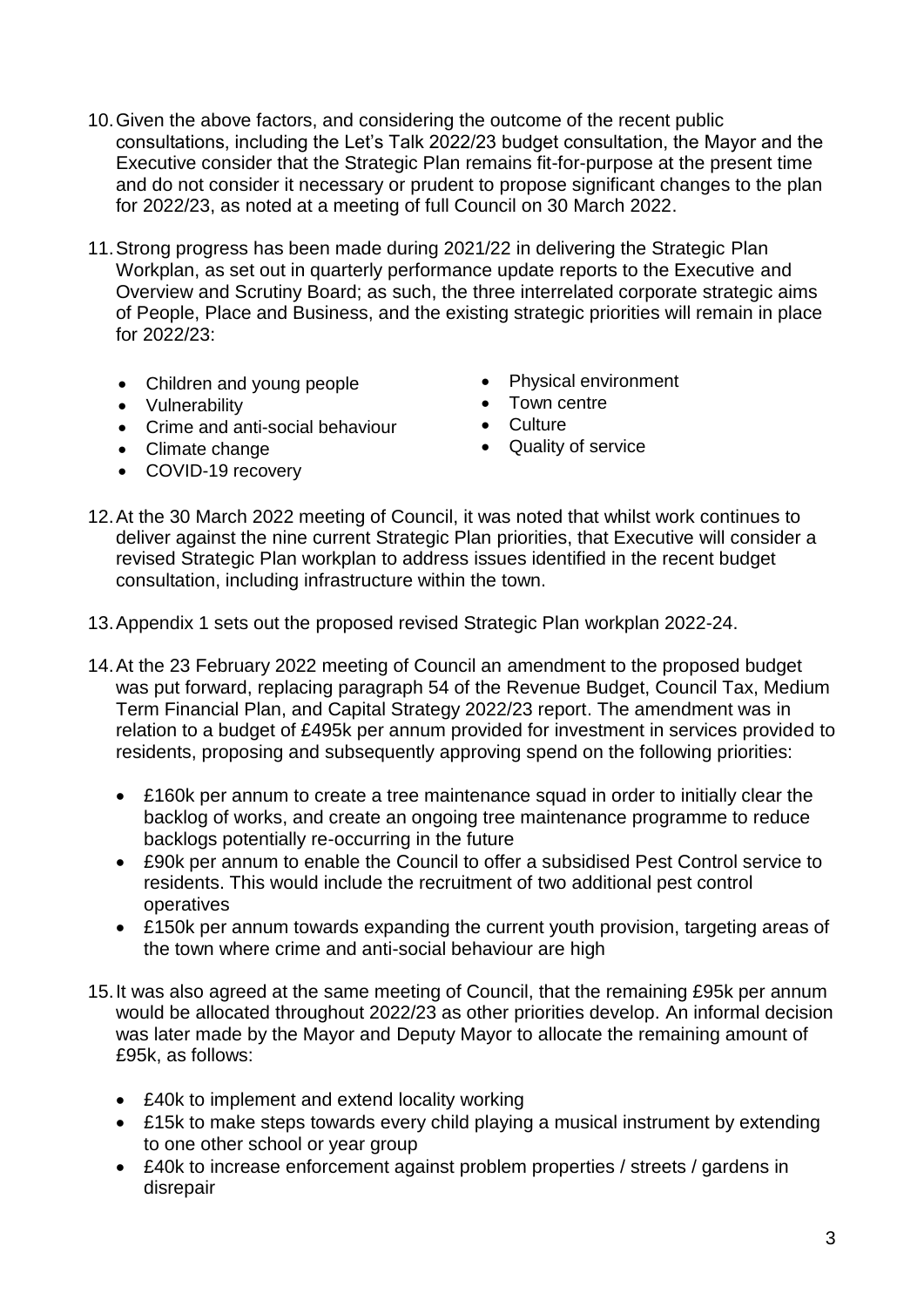- 10.Given the above factors, and considering the outcome of the recent public consultations, including the Let's Talk 2022/23 budget consultation, the Mayor and the Executive consider that the Strategic Plan remains fit-for-purpose at the present time and do not consider it necessary or prudent to propose significant changes to the plan for 2022/23, as noted at a meeting of full Council on 30 March 2022.
- 11.Strong progress has been made during 2021/22 in delivering the Strategic Plan Workplan, as set out in quarterly performance update reports to the Executive and Overview and Scrutiny Board; as such, the three interrelated corporate strategic aims of People, Place and Business, and the existing strategic priorities will remain in place for  $2022/23$ :
	- Children and young people
	- Vulnerability
	- Crime and anti-social behaviour
	- Climate change
	- COVID-19 recovery
- Physical environment
- Town centre
- Culture
- Quality of service
- 12.At the 30 March 2022 meeting of Council, it was noted that whilst work continues to deliver against the nine current Strategic Plan priorities, that Executive will consider a revised Strategic Plan workplan to address issues identified in the recent budget consultation, including infrastructure within the town.
- 13.Appendix 1 sets out the proposed revised Strategic Plan workplan 2022-24.
- 14.At the 23 February 2022 meeting of Council an amendment to the proposed budget was put forward, replacing paragraph 54 of the Revenue Budget, Council Tax, Medium Term Financial Plan, and Capital Strategy 2022/23 report. The amendment was in relation to a budget of £495k per annum provided for investment in services provided to residents, proposing and subsequently approving spend on the following priorities:
	- £160k per annum to create a tree maintenance squad in order to initially clear the backlog of works, and create an ongoing tree maintenance programme to reduce backlogs potentially re-occurring in the future
	- £90k per annum to enable the Council to offer a subsidised Pest Control service to residents. This would include the recruitment of two additional pest control operatives
	- £150k per annum towards expanding the current youth provision, targeting areas of the town where crime and anti-social behaviour are high
- 15.It was also agreed at the same meeting of Council, that the remaining £95k per annum would be allocated throughout 2022/23 as other priorities develop. An informal decision was later made by the Mayor and Deputy Mayor to allocate the remaining amount of £95k, as follows:
	- £40k to implement and extend locality working
	- £15k to make steps towards every child playing a musical instrument by extending to one other school or year group
	- £40k to increase enforcement against problem properties / streets / gardens in disrepair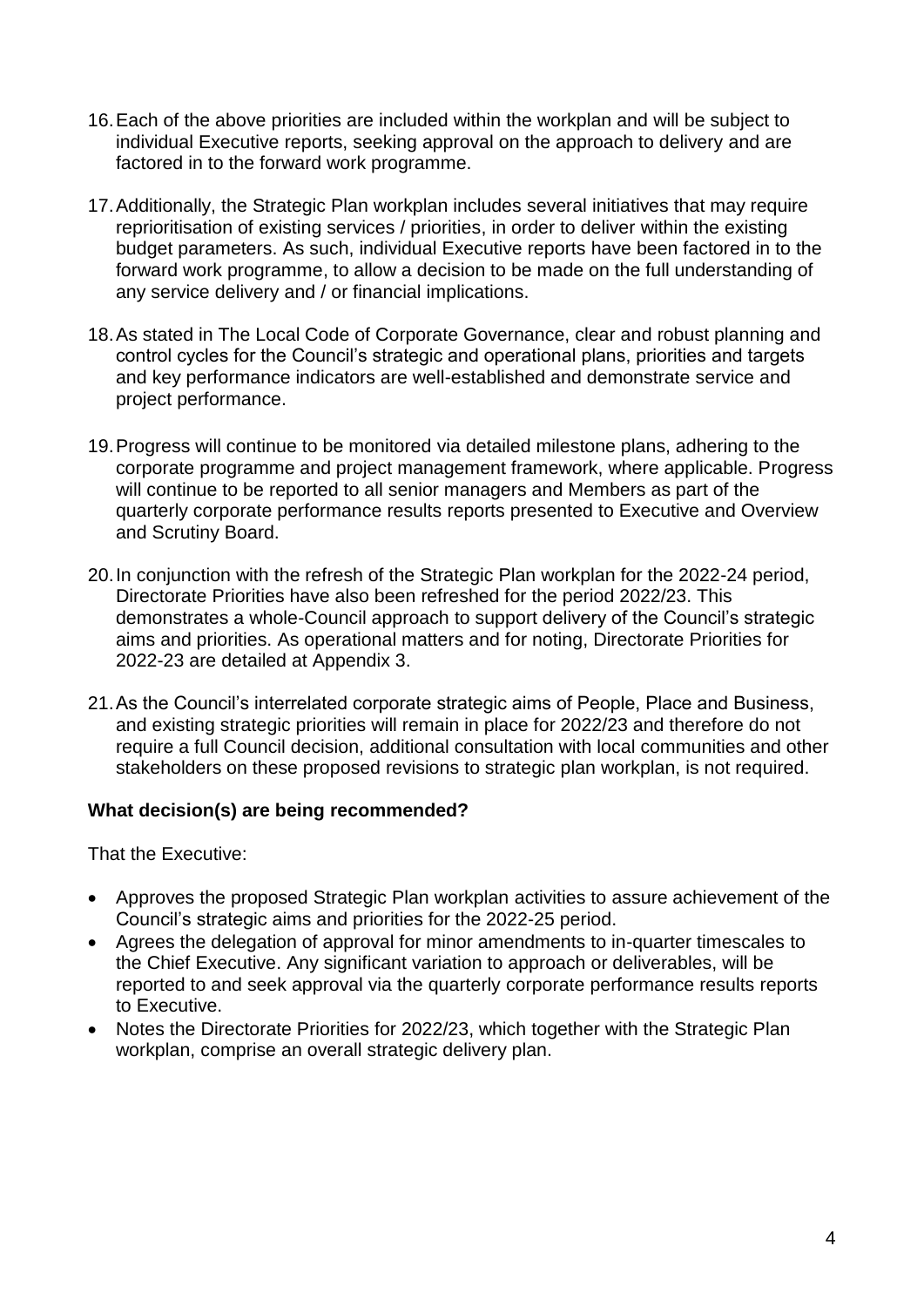- 16.Each of the above priorities are included within the workplan and will be subject to individual Executive reports, seeking approval on the approach to delivery and are factored in to the forward work programme.
- 17.Additionally, the Strategic Plan workplan includes several initiatives that may require reprioritisation of existing services / priorities, in order to deliver within the existing budget parameters. As such, individual Executive reports have been factored in to the forward work programme, to allow a decision to be made on the full understanding of any service delivery and / or financial implications.
- 18.As stated in The Local Code of Corporate Governance, clear and robust planning and control cycles for the Council's strategic and operational plans, priorities and targets and key performance indicators are well-established and demonstrate service and project performance.
- 19.Progress will continue to be monitored via detailed milestone plans, adhering to the corporate programme and project management framework, where applicable. Progress will continue to be reported to all senior managers and Members as part of the quarterly corporate performance results reports presented to Executive and Overview and Scrutiny Board.
- 20.In conjunction with the refresh of the Strategic Plan workplan for the 2022-24 period, Directorate Priorities have also been refreshed for the period 2022/23. This demonstrates a whole-Council approach to support delivery of the Council's strategic aims and priorities. As operational matters and for noting, Directorate Priorities for 2022-23 are detailed at Appendix 3.
- 21.As the Council's interrelated corporate strategic aims of People, Place and Business, and existing strategic priorities will remain in place for 2022/23 and therefore do not require a full Council decision, additional consultation with local communities and other stakeholders on these proposed revisions to strategic plan workplan, is not required.

# **What decision(s) are being recommended?**

That the Executive:

- Approves the proposed Strategic Plan workplan activities to assure achievement of the Council's strategic aims and priorities for the 2022-25 period.
- Agrees the delegation of approval for minor amendments to in-quarter timescales to the Chief Executive. Any significant variation to approach or deliverables, will be reported to and seek approval via the quarterly corporate performance results reports to Executive.
- Notes the Directorate Priorities for 2022/23, which together with the Strategic Plan workplan, comprise an overall strategic delivery plan.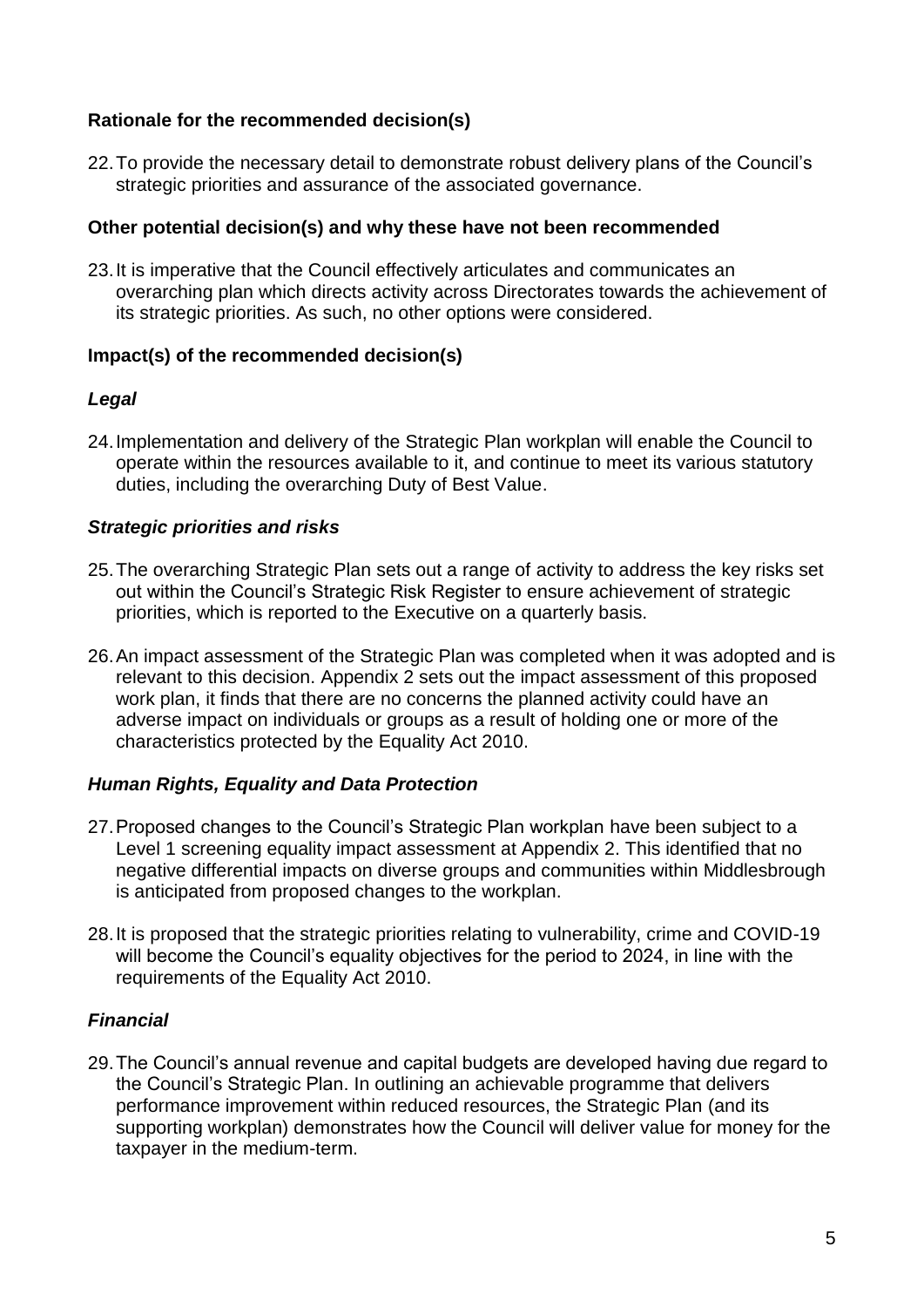#### **Rationale for the recommended decision(s)**

22.To provide the necessary detail to demonstrate robust delivery plans of the Council's strategic priorities and assurance of the associated governance.

#### **Other potential decision(s) and why these have not been recommended**

23.It is imperative that the Council effectively articulates and communicates an overarching plan which directs activity across Directorates towards the achievement of its strategic priorities. As such, no other options were considered.

#### **Impact(s) of the recommended decision(s)**

#### *Legal*

24.Implementation and delivery of the Strategic Plan workplan will enable the Council to operate within the resources available to it, and continue to meet its various statutory duties, including the overarching Duty of Best Value.

#### *Strategic priorities and risks*

- 25.The overarching Strategic Plan sets out a range of activity to address the key risks set out within the Council's Strategic Risk Register to ensure achievement of strategic priorities, which is reported to the Executive on a quarterly basis.
- 26.An impact assessment of the Strategic Plan was completed when it was adopted and is relevant to this decision. Appendix 2 sets out the impact assessment of this proposed work plan, it finds that there are no concerns the planned activity could have an adverse impact on individuals or groups as a result of holding one or more of the characteristics protected by the Equality Act 2010.

# *Human Rights, Equality and Data Protection*

- 27.Proposed changes to the Council's Strategic Plan workplan have been subject to a Level 1 screening equality impact assessment at Appendix 2. This identified that no negative differential impacts on diverse groups and communities within Middlesbrough is anticipated from proposed changes to the workplan.
- 28.It is proposed that the strategic priorities relating to vulnerability, crime and COVID-19 will become the Council's equality objectives for the period to 2024, in line with the requirements of the Equality Act 2010.

# *Financial*

29.The Council's annual revenue and capital budgets are developed having due regard to the Council's Strategic Plan. In outlining an achievable programme that delivers performance improvement within reduced resources, the Strategic Plan (and its supporting workplan) demonstrates how the Council will deliver value for money for the taxpayer in the medium-term.